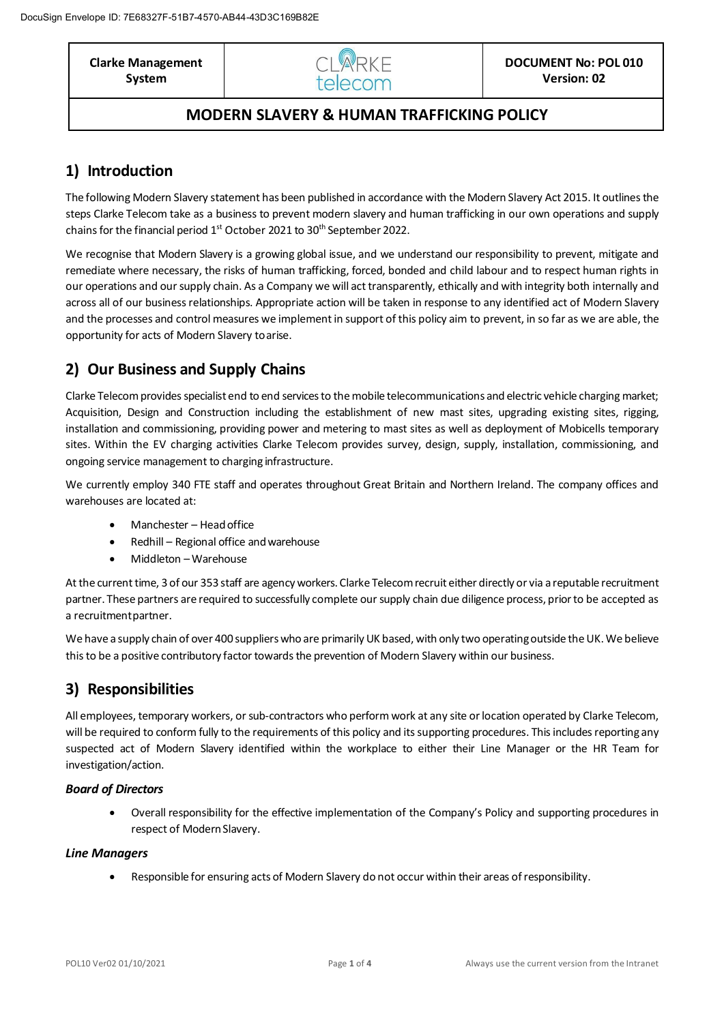**Clarke Management System**



### **MODERN SLAVERY & HUMAN TRAFFICKING POLICY**

# **1) Introduction**

The following Modern Slavery statement has been published in accordance with the Modern Slavery Act 2015. It outlines the steps Clarke Telecom take as a business to prevent modern slavery and human trafficking in our own operations and supply chains for the financial period 1<sup>st</sup> October 2021 to 30<sup>th</sup> September 2022.

We recognise that Modern Slavery is a growing global issue, and we understand our responsibility to prevent, mitigate and remediate where necessary, the risks of human trafficking, forced, bonded and child labour and to respect human rights in our operations and our supply chain. As a Company we will act transparently, ethically and with integrity both internally and across all of our business relationships. Appropriate action will be taken in response to any identified act of Modern Slavery and the processes and control measures we implementin support of this policy aim to prevent, in so far as we are able, the opportunity for acts of Modern Slavery toarise.

# **2) Our Business and Supply Chains**

Clarke Telecom provides specialist end to end services to the mobile telecommunications and electric vehicle charging market; Acquisition, Design and Construction including the establishment of new mast sites, upgrading existing sites, rigging, installation and commissioning, providing power and metering to mast sites as well as deployment of Mobicells temporary sites. Within the EV charging activities Clarke Telecom provides survey, design, supply, installation, commissioning, and ongoing service management to charging infrastructure.

We currently employ 340 FTE staff and operates throughout Great Britain and Northern Ireland. The company offices and warehouses are located at:

- Manchester Headoffice
- Redhill Regional office and warehouse
- Middleton –Warehouse

At the current time, 3 of our 353 staff are agency workers. Clarke Telecom recruit either directly or via a reputable recruitment partner. These partners are required to successfully complete oursupply chain due diligence process, priorto be accepted as a recruitmentpartner.

We have a supply chain of over 400 suppliers who are primarily UK based, with only two operating outside the UK. We believe this to be a positive contributory factor towards the prevention of Modern Slavery within our business.

# **3) Responsibilities**

All employees, temporary workers, or sub-contractors who perform work at any site or location operated by Clarke Telecom, will be required to conform fully to the requirements of this policy and its supporting procedures. This includes reporting any suspected act of Modern Slavery identified within the workplace to either their Line Manager or the HR Team for investigation/action.

### *Board of Directors*

• Overall responsibility for the effective implementation of the Company's Policy and supporting procedures in respect of Modern Slavery.

### *Line Managers*

• Responsible for ensuring acts of Modern Slavery do not occur within their areas ofresponsibility.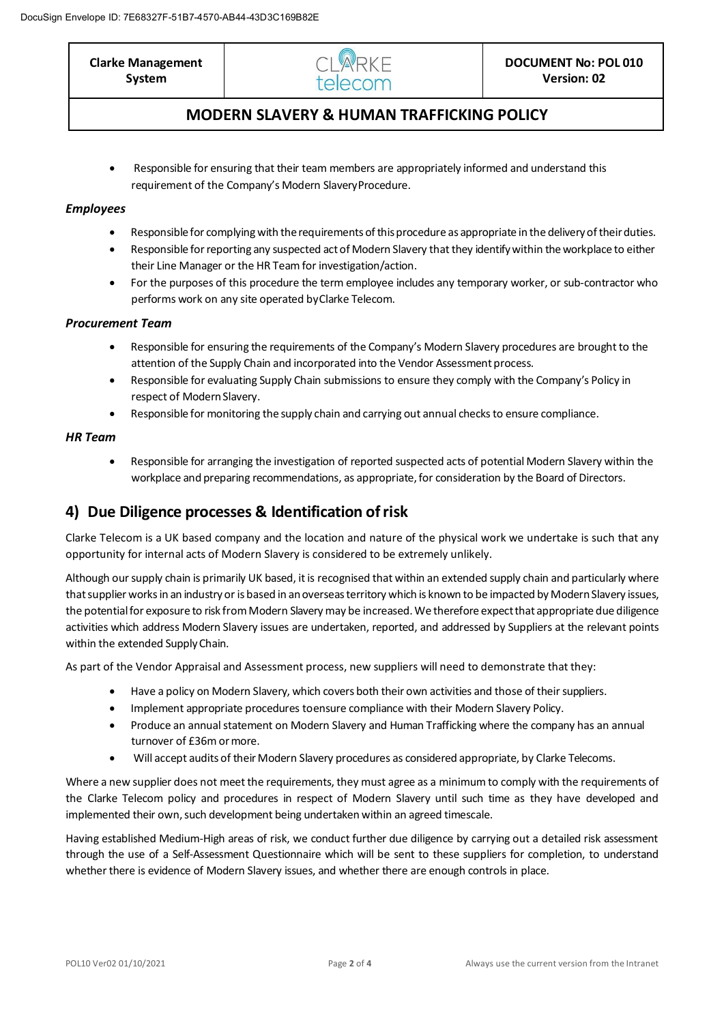**Clarke Management System**



## **MODERN SLAVERY & HUMAN TRAFFICKING POLICY**

• Responsible for ensuring that their team members are appropriately informed and understand this requirement of the Company's Modern SlaveryProcedure.

### *Employees*

- Responsible for complying with the requirements of this procedure as appropriate in the delivery of their duties.
- Responsible for reporting any suspected act of Modern Slavery that they identify within the workplace to either their Line Manager or the HR Team for investigation/action.
- For the purposes of this procedure the term employee includes any temporary worker, or sub-contractor who performs work on any site operated byClarke Telecom.

### *Procurement Team*

- Responsible for ensuring the requirements of the Company's Modern Slavery procedures are brought to the attention of the Supply Chain and incorporated into the Vendor Assessment process.
- Responsible for evaluating Supply Chain submissions to ensure they comply with the Company's Policy in respect of Modern Slavery.
- Responsible for monitoring the supply chain and carrying out annual checks to ensure compliance.

### *HR Team*

• Responsible for arranging the investigation of reported suspected acts of potential Modern Slavery within the workplace and preparing recommendations, as appropriate, for consideration by the Board of Directors.

## **4) Due Diligence processes & Identification ofrisk**

Clarke Telecom is a UK based company and the location and nature of the physical work we undertake is such that any opportunity for internal acts of Modern Slavery is considered to be extremely unlikely.

Although our supply chain is primarily UK based, it is recognised that within an extended supply chain and particularly where that supplier works in an industry or is based in an overseas territory which is known to be impacted by Modern Slavery issues, the potential for exposure to risk from Modern Slavery may be increased. We therefore expect that appropriate due diligence activities which address Modern Slavery issues are undertaken, reported, and addressed by Suppliers at the relevant points within the extended SupplyChain.

As part of the Vendor Appraisal and Assessment process, new suppliers will need to demonstrate that they:

- Have a policy on Modern Slavery, which covers both their own activities and those of their suppliers.
- Implement appropriate procedures toensure compliance with their Modern Slavery Policy.
- Produce an annual statement on Modern Slavery and Human Trafficking where the company has an annual turnover of £36m ormore.
- Will accept audits of their Modern Slavery procedures as considered appropriate, by Clarke Telecoms.

Where a new supplier does not meet the requirements, they must agree as a minimum to comply with the requirements of the Clarke Telecom policy and procedures in respect of Modern Slavery until such time as they have developed and implemented their own, such development being undertaken within an agreed timescale.

Having established Medium-High areas of risk, we conduct further due diligence by carrying out a detailed risk assessment through the use of a Self-Assessment Questionnaire which will be sent to these suppliers for completion, to understand whether there is evidence of Modern Slavery issues, and whether there are enough controls in place.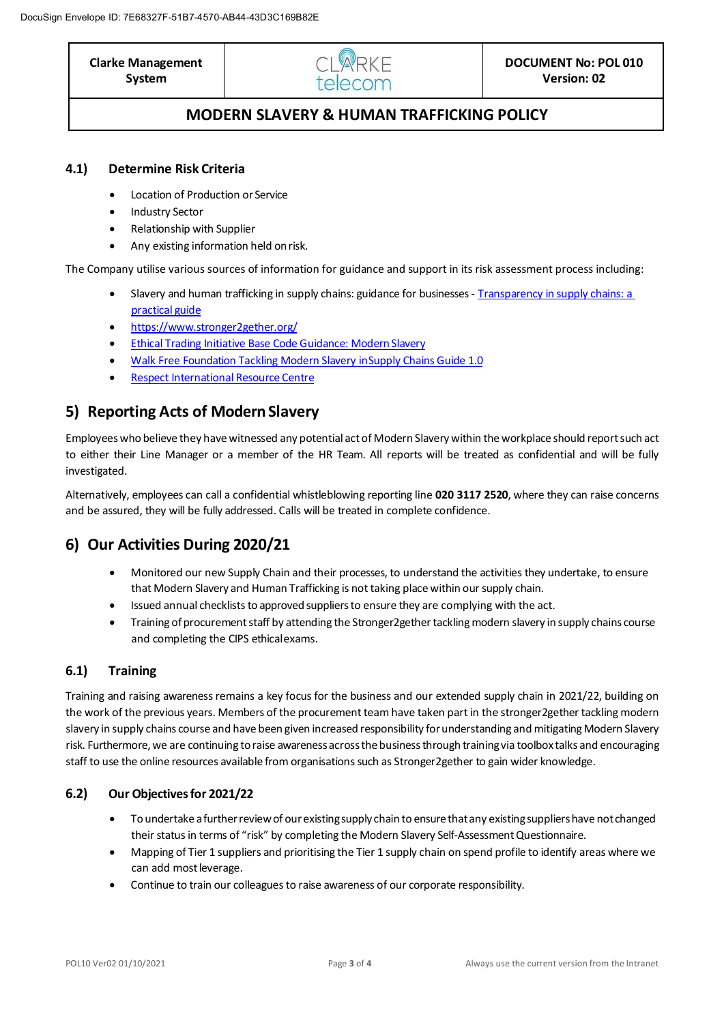**Clarke Management** 

**System**



# **MODERN SLAVERY & HUMAN TRAFFICKING POLICY**

### **4.1) Determine Risk Criteria**

- Location of Production or Service
- Industry Sector
- Relationship with Supplier
- Any existing information held on risk.

The Company utilise various sources of information for guidance and support in its risk assessment process including:

- Slavery and human trafficking in supply chains: guidance for businesses [Transparency in supply chains: a](https://protect-eu.mimecast.com/s/KJeOCJ6zwSBN9EwCV0Dsy?domain=assets.publishing.service.gov.uk) [practical](https://protect-eu.mimecast.com/s/KJeOCJ6zwSBN9EwCV0Dsy?domain=assets.publishing.service.gov.uk) guide
- <https://www.stronger2gether.org/>
- **Ethical Trading Initiative Base Code Guidance: Modern Slavery**
- Walk Free Foundation Tackling Modern Slavery inSupply Chains Guide 1.0
- Respect International Resource Centre

## **5)** Reporting Acts of Modern Slavery

Employees who believe they have witnessed any potential actof Modern Slavery within the workplace should reportsuch act to either their Line Manager or a member of the HR Team. All reports will be treated as confidential and will be fully investigated.

Alternatively, employees can call a confidential whistleblowing reporting line **020 3117 2520**, where they can raise concerns and be assured, they will be fully addressed. Calls will be treated in complete confidence.

# **6) Our Activities During 2020/21**

- Monitored our new Supply Chain and their processes, to understand the activities they undertake, to ensure that Modern Slavery and Human Trafficking is not taking place within our supply chain.
- Issued annual checklists to approved suppliers to ensure they are complying with the act.
- Training of procurement staff by attending the Stronger2gether tackling modern slavery in supply chains course and completing the CIPS ethicalexams.

### **6.1) Training**

Training and raising awareness remains a key focus for the business and our extended supply chain in 2021/22, building on the work of the previous years. Members of the procurement team have taken part in the stronger2gether tackling modern slavery in supply chains course and have been given increased responsibility for understanding and mitigating Modern Slavery risk. Furthermore, we are continuing to raise awareness across the business through training via toolbox talks and encouraging staff to use the online resources available from organisationssuch as Stronger2gether to gain wider knowledge.

### **6.2) Our Objectives for 2021/22**

- To undertake a further review of our existing supply chain to ensure that any existing suppliers have not changed their status in terms of "risk" by completing the Modern Slavery Self-Assessment Questionnaire.
- Mapping of Tier 1 suppliers and prioritising the Tier 1 supply chain on spend profile to identify areas where we can add most leverage.
- Continue to train our colleagues to raise awareness of our corporate responsibility.